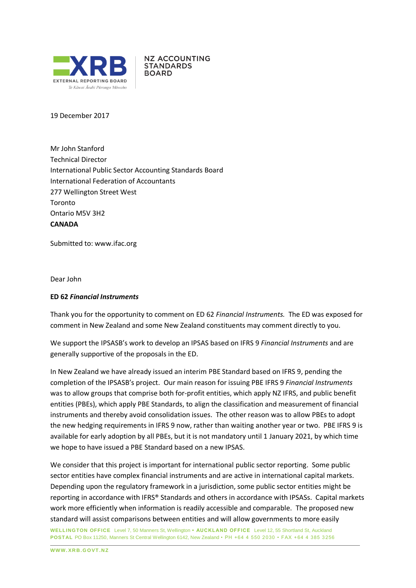

**NZ ACCOUNTING STANDARDS BOARD** 

19 December 2017

Mr John Stanford Technical Director International Public Sector Accounting Standards Board International Federation of Accountants 277 Wellington Street West Toronto Ontario M5V 3H2 **CANADA**

Submitted to: [www.ifac.org](http://www.ifac.org/)

Dear John

#### **ED 62** *Financial Instruments*

Thank you for the opportunity to comment on ED 62 *Financial Instruments.* The ED was exposed for comment in New Zealand and some New Zealand constituents may comment directly to you.

We support the IPSASB's work to develop an IPSAS based on IFRS 9 *Financial Instruments* and are generally supportive of the proposals in the ED.

In New Zealand we have already issued an interim PBE Standard based on IFRS 9, pending the completion of the IPSASB's project. Our main reason for issuing PBE IFRS 9 *Financial Instruments* was to allow groups that comprise both for-profit entities, which apply NZ IFRS, and public benefit entities (PBEs), which apply PBE Standards, to align the classification and measurement of financial instruments and thereby avoid consolidation issues. The other reason was to allow PBEs to adopt the new hedging requirements in IFRS 9 now, rather than waiting another year or two. PBE IFRS 9 is available for early adoption by all PBEs, but it is not mandatory until 1 January 2021, by which time we hope to have issued a PBE Standard based on a new IPSAS.

We consider that this project is important for international public sector reporting. Some public sector entities have complex financial instruments and are active in international capital markets. Depending upon the regulatory framework in a jurisdiction, some public sector entities might be reporting in accordance with IFRS® Standards and others in accordance with IPSASs. Capital markets work more efficiently when information is readily accessible and comparable. The proposed new standard will assist comparisons between entities and will allow governments to more easily

**WELLINGTON OFFICE** Level 7, 50 Manners St, Wellington **• AUCKL AND OFFICE** Level 12, 55 Shortland St, Auckland **POSTAL** PO Box 11250, Manners St Central Wellington 6142, New Zealand • PH +64 4 550 2030 • FAX +64 4 385 3256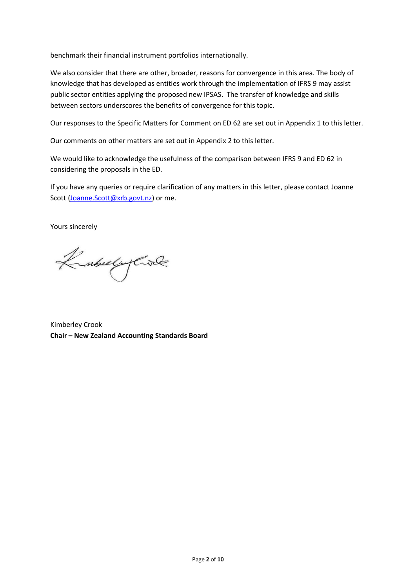benchmark their financial instrument portfolios internationally.

We also consider that there are other, broader, reasons for convergence in this area. The body of knowledge that has developed as entities work through the implementation of IFRS 9 may assist public sector entities applying the proposed new IPSAS. The transfer of knowledge and skills between sectors underscores the benefits of convergence for this topic.

Our responses to the Specific Matters for Comment on ED 62 are set out in Appendix 1 to this letter.

Our comments on other matters are set out in Appendix 2 to this letter.

We would like to acknowledge the usefulness of the comparison between IFRS 9 and ED 62 in considering the proposals in the ED.

If you have any queries or require clarification of any matters in this letter, please contact Joanne Scott [\(Joanne.Scott@xrb.govt.nz\)](mailto:Joanne.Scott@xrb.govt.nz) or me.

Yours sincerely

Kubuly Civil

Kimberley Crook **Chair – New Zealand Accounting Standards Board**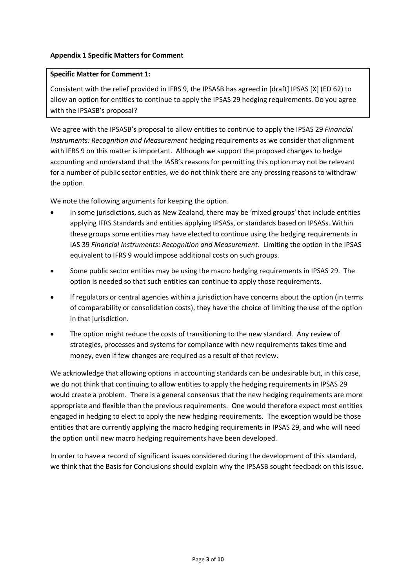## **Appendix 1 Specific Matters for Comment**

#### **Specific Matter for Comment 1:**

Consistent with the relief provided in IFRS 9, the IPSASB has agreed in [draft] IPSAS [X] (ED 62) to allow an option for entities to continue to apply the IPSAS 29 hedging requirements. Do you agree with the IPSASB's proposal?

We agree with the IPSASB's proposal to allow entities to continue to apply the IPSAS 29 *Financial Instruments: Recognition and Measurement* hedging requirements as we consider that alignment with IFRS 9 on this matter is important. Although we support the proposed changes to hedge accounting and understand that the IASB's reasons for permitting this option may not be relevant for a number of public sector entities, we do not think there are any pressing reasons to withdraw the option.

We note the following arguments for keeping the option.

- In some jurisdictions, such as New Zealand, there may be 'mixed groups' that include entities applying IFRS Standards and entities applying IPSASs, or standards based on IPSASs. Within these groups some entities may have elected to continue using the hedging requirements in IAS 39 *Financial Instruments: Recognition and Measurement*. Limiting the option in the IPSAS equivalent to IFRS 9 would impose additional costs on such groups.
- Some public sector entities may be using the macro hedging requirements in IPSAS 29. The option is needed so that such entities can continue to apply those requirements.
- If regulators or central agencies within a jurisdiction have concerns about the option (in terms of comparability or consolidation costs), they have the choice of limiting the use of the option in that jurisdiction.
- The option might reduce the costs of transitioning to the new standard. Any review of strategies, processes and systems for compliance with new requirements takes time and money, even if few changes are required as a result of that review.

We acknowledge that allowing options in accounting standards can be undesirable but, in this case, we do not think that continuing to allow entities to apply the hedging requirements in IPSAS 29 would create a problem. There is a general consensus that the new hedging requirements are more appropriate and flexible than the previous requirements. One would therefore expect most entities engaged in hedging to elect to apply the new hedging requirements. The exception would be those entities that are currently applying the macro hedging requirements in IPSAS 29, and who will need the option until new macro hedging requirements have been developed.

In order to have a record of significant issues considered during the development of this standard, we think that the Basis for Conclusions should explain why the IPSASB sought feedback on this issue.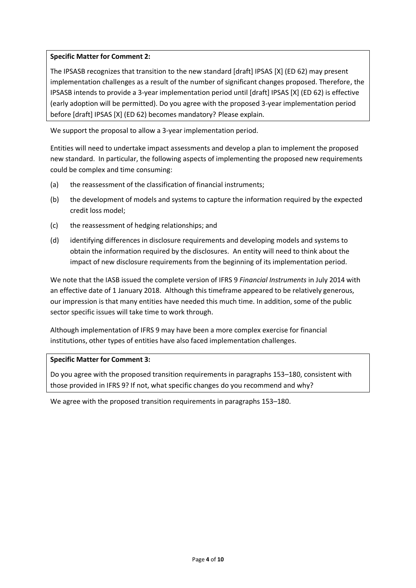## **Specific Matter for Comment 2:**

The IPSASB recognizes that transition to the new standard [draft] IPSAS [X] (ED 62) may present implementation challenges as a result of the number of significant changes proposed. Therefore, the IPSASB intends to provide a 3-year implementation period until [draft] IPSAS [X] (ED 62) is effective (early adoption will be permitted). Do you agree with the proposed 3-year implementation period before [draft] IPSAS [X] (ED 62) becomes mandatory? Please explain.

We support the proposal to allow a 3-year implementation period.

Entities will need to undertake impact assessments and develop a plan to implement the proposed new standard. In particular, the following aspects of implementing the proposed new requirements could be complex and time consuming:

- (a) the reassessment of the classification of financial instruments;
- (b) the development of models and systems to capture the information required by the expected credit loss model;
- (c) the reassessment of hedging relationships; and
- (d) identifying differences in disclosure requirements and developing models and systems to obtain the information required by the disclosures. An entity will need to think about the impact of new disclosure requirements from the beginning of its implementation period.

We note that the IASB issued the complete version of IFRS 9 *Financial Instruments* in July 2014 with an effective date of 1 January 2018. Although this timeframe appeared to be relatively generous, our impression is that many entities have needed this much time. In addition, some of the public sector specific issues will take time to work through.

Although implementation of IFRS 9 may have been a more complex exercise for financial institutions, other types of entities have also faced implementation challenges.

### **Specific Matter for Comment 3:**

Do you agree with the proposed transition requirements in paragraphs 153–180, consistent with those provided in IFRS 9? If not, what specific changes do you recommend and why?

We agree with the proposed transition requirements in paragraphs 153–180.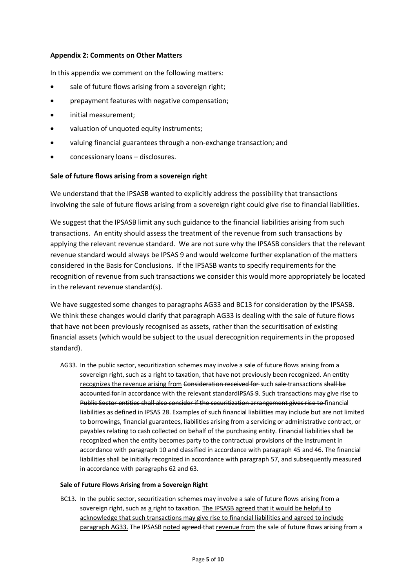### **Appendix 2: Comments on Other Matters**

In this appendix we comment on the following matters:

- sale of future flows arising from a sovereign right;
- prepayment features with negative compensation;
- initial measurement;
- valuation of unquoted equity instruments;
- valuing financial guarantees through a non-exchange transaction; and
- concessionary loans disclosures.

### **Sale of future flows arising from a sovereign right**

We understand that the IPSASB wanted to explicitly address the possibility that transactions involving the sale of future flows arising from a sovereign right could give rise to financial liabilities.

We suggest that the IPSASB limit any such guidance to the financial liabilities arising from such transactions. An entity should assess the treatment of the revenue from such transactions by applying the relevant revenue standard. We are not sure why the IPSASB considers that the relevant revenue standard would always be IPSAS 9 and would welcome further explanation of the matters considered in the Basis for Conclusions. If the IPSASB wants to specify requirements for the recognition of revenue from such transactions we consider this would more appropriately be located in the relevant revenue standard(s).

We have suggested some changes to paragraphs AG33 and BC13 for consideration by the IPSASB. We think these changes would clarify that paragraph AG33 is dealing with the sale of future flows that have not been previously recognised as assets, rather than the securitisation of existing financial assets (which would be subject to the usual derecognition requirements in the proposed standard).

AG33. In the public sector, securitization schemes may involve a sale of future flows arising from a sovereign right, such as a right to taxation, that have not previously been recognized. An entity recognizes the revenue arising from Consideration received for such sale transactions shall be accounted for in accordance with the relevant standardIPSAS 9. Such transactions may give rise to Public Sector entities shall also consider if the securitization arrangement gives rise to financial liabilities as defined in IPSAS 28. Examples of such financial liabilities may include but are not limited to borrowings, financial guarantees, liabilities arising from a servicing or administrative contract, or payables relating to cash collected on behalf of the purchasing entity. Financial liabilities shall be recognized when the entity becomes party to the contractual provisions of the instrument in accordance with paragraph 10 and classified in accordance with paragraph 45 and 46. The financial liabilities shall be initially recognized in accordance with paragraph 57, and subsequently measured in accordance with paragraphs 62 and 63.

#### **Sale of Future Flows Arising from a Sovereign Right**

BC13. In the public sector, securitization schemes may involve a sale of future flows arising from a sovereign right, such as a right to taxation. The IPSASB agreed that it would be helpful to acknowledge that such transactions may give rise to financial liabilities and agreed to include paragraph AG33. The IPSASB noted agreed that revenue from the sale of future flows arising from a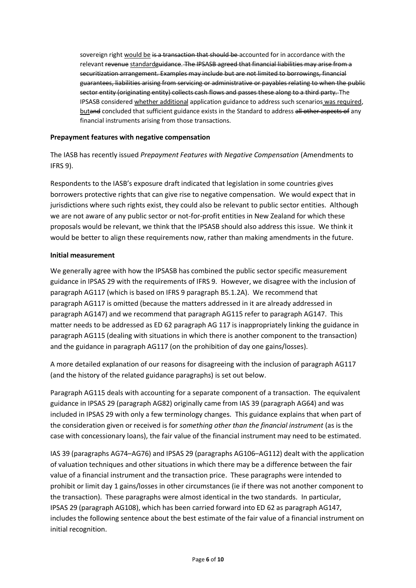sovereign right would be is a transaction that should be accounted for in accordance with the relevant revenue standardguidance. The IPSASB agreed that financial liabilities may arise from a securitization arrangement. Examples may include but are not limited to borrowings, financial guarantees, liabilities arising from servicing or administrative or payables relating to when the public sector entity (originating entity) collects cash flows and passes these along to a third party. The IPSASB considered whether additional application guidance to address such scenarios was required, butand concluded that sufficient guidance exists in the Standard to address all other aspects of any financial instruments arising from those transactions.

## **Prepayment features with negative compensation**

The IASB has recently issued *Prepayment Features with Negative Compensation* (Amendments to IFRS 9).

Respondents to the IASB's exposure draft indicated that legislation in some countries gives borrowers protective rights that can give rise to negative compensation. We would expect that in jurisdictions where such rights exist, they could also be relevant to public sector entities. Although we are not aware of any public sector or not-for-profit entities in New Zealand for which these proposals would be relevant, we think that the IPSASB should also address this issue. We think it would be better to align these requirements now, rather than making amendments in the future.

### **Initial measurement**

We generally agree with how the IPSASB has combined the public sector specific measurement guidance in IPSAS 29 with the requirements of IFRS 9. However, we disagree with the inclusion of paragraph AG117 (which is based on IFRS 9 paragraph B5.1.2A). We recommend that paragraph AG117 is omitted (because the matters addressed in it are already addressed in paragraph AG147) and we recommend that paragraph AG115 refer to paragraph AG147. This matter needs to be addressed as ED 62 paragraph AG 117 is inappropriately linking the guidance in paragraph AG115 (dealing with situations in which there is another component to the transaction) and the guidance in paragraph AG117 (on the prohibition of day one gains/losses).

A more detailed explanation of our reasons for disagreeing with the inclusion of paragraph AG117 (and the history of the related guidance paragraphs) is set out below.

Paragraph AG115 deals with accounting for a separate component of a transaction. The equivalent guidance in IPSAS 29 (paragraph AG82) originally came from IAS 39 (paragraph AG64) and was included in IPSAS 29 with only a few terminology changes. This guidance explains that when part of the consideration given or received is for *something other than the financial instrument* (as is the case with concessionary loans), the fair value of the financial instrument may need to be estimated.

IAS 39 (paragraphs AG74–AG76) and IPSAS 29 (paragraphs AG106–AG112) dealt with the application of valuation techniques and other situations in which there may be a difference between the fair value of a financial instrument and the transaction price. These paragraphs were intended to prohibit or limit day 1 gains/losses in other circumstances (ie if there was not another component to the transaction). These paragraphs were almost identical in the two standards. In particular, IPSAS 29 (paragraph AG108), which has been carried forward into ED 62 as paragraph AG147, includes the following sentence about the best estimate of the fair value of a financial instrument on initial recognition.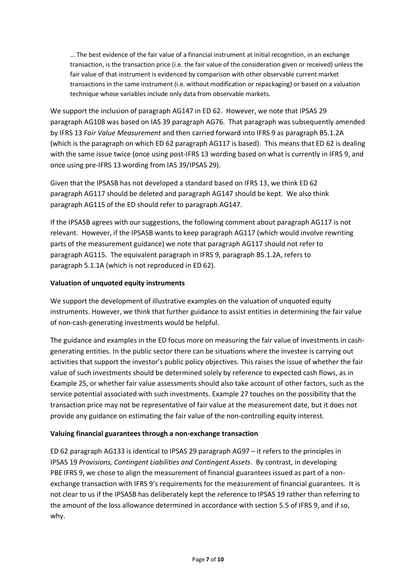… The best evidence of the fair value of a financial instrument at initial recognition, in an exchange transaction, is the transaction price (i.e. the fair value of the consideration given or received) unless the fair value of that instrument is evidenced by comparison with other observable current market transactions in the same instrument (i.e. without modification or repackaging) or based on a valuation technique whose variables include only data from observable markets.

We support the inclusion of paragraph AG147 in ED 62. However, we note that IPSAS 29 paragraph AG108 was based on IAS 39 paragraph AG76. That paragraph was subsequently amended by IFRS 13 *Fair Value Measurement* and then carried forward into IFRS 9 as paragraph B5.1.2A (which is the paragraph on which ED 62 paragraph AG117 is based). This means that ED 62 is dealing with the same issue twice (once using post-IFRS 13 wording based on what is currently in IFRS 9, and once using pre-IFRS 13 wording from IAS 39/IPSAS 29).

Given that the IPSASB has not developed a standard based on IFRS 13, we think ED 62 paragraph AG117 should be deleted and paragraph AG147 should be kept. We also think paragraph AG115 of the ED should refer to paragraph AG147.

If the IPSASB agrees with our suggestions, the following comment about paragraph AG117 is not relevant. However, if the IPSASB wants to keep paragraph AG117 (which would involve rewriting parts of the measurement guidance) we note that paragraph AG117 should not refer to paragraph AG115. The equivalent paragraph in IFRS 9, paragraph B5.1.2A, refers to paragraph 5.1.1A (which is not reproduced in ED 62).

# **Valuation of unquoted equity instruments**

We support the development of illustrative examples on the valuation of unquoted equity instruments. However, we think that further guidance to assist entities in determining the fair value of non-cash-generating investments would be helpful.

The guidance and examples in the ED focus more on measuring the fair value of investments in cashgenerating entities. In the public sector there can be situations where the investee is carrying out activities that support the investor's public policy objectives. This raises the issue of whether the fair value of such investments should be determined solely by reference to expected cash flows, as in Example 25, or whether fair value assessments should also take account of other factors, such as the service potential associated with such investments. Example 27 touches on the possibility that the transaction price may not be representative of fair value at the measurement date, but it does not provide any guidance on estimating the fair value of the non-controlling equity interest.

# **Valuing financial guarantees through a non-exchange transaction**

ED 62 paragraph AG133 is identical to IPSAS 29 paragraph AG97 – it refers to the principles in IPSAS 19 *Provisions, Contingent Liabilities and Contingent Assets*. By contrast, in developing PBE IFRS 9, we chose to align the measurement of financial guarantees issued as part of a nonexchange transaction with IFRS 9's requirements for the measurement of financial guarantees. It is not clear to us if the IPSASB has deliberately kept the reference to IPSAS 19 rather than referring to the amount of the loss allowance determined in accordance with section 5.5 of IFRS 9, and if so, why.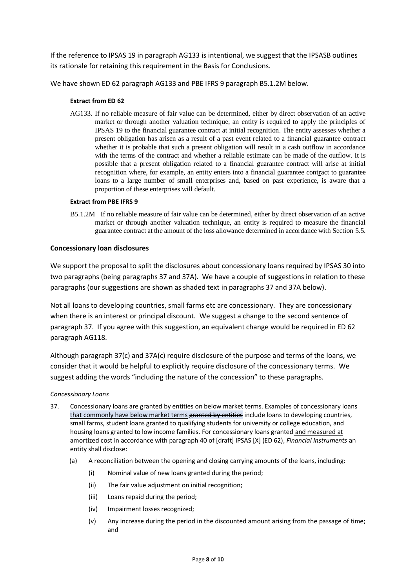If the reference to IPSAS 19 in paragraph AG133 is intentional, we suggest that the IPSASB outlines its rationale for retaining this requirement in the Basis for Conclusions.

We have shown ED 62 paragraph AG133 and PBE IFRS 9 paragraph B5.1.2M below.

#### **Extract from ED 62**

AG133. If no reliable measure of fair value can be determined, either by direct observation of an active market or through another valuation technique, an entity is required to apply the principles of IPSAS 19 to the financial guarantee contract at initial recognition. The entity assesses whether a present obligation has arisen as a result of a past event related to a financial guarantee contract whether it is probable that such a present obligation will result in a cash outflow in accordance with the terms of the contract and whether a reliable estimate can be made of the outflow. It is possible that a present obligation related to a financial guarantee contract will arise at initial recognition where, for example, an entity enters into a financial guarantee contract to guarantee loans to a large number of small enterprises and, based on past experience, is aware that a proportion of these enterprises will default.

#### **Extract from PBE IFRS 9**

B5.1.2M If no reliable measure of fair value can be determined, either by direct observation of an active market or through another valuation technique, an entity is required to measure the financial guarantee contract at the amount of the loss allowance determined in accordance with Section 5.5.

#### **Concessionary loan disclosures**

We support the proposal to split the disclosures about concessionary loans required by IPSAS 30 into two paragraphs (being paragraphs 37 and 37A). We have a couple of suggestions in relation to these paragraphs (our suggestions are shown as shaded text in paragraphs 37 and 37A below).

Not all loans to developing countries, small farms etc are concessionary. They are concessionary when there is an interest or principal discount. We suggest a change to the second sentence of paragraph 37. If you agree with this suggestion, an equivalent change would be required in ED 62 paragraph AG118.

Although paragraph 37(c) and 37A(c) require disclosure of the purpose and terms of the loans, we consider that it would be helpful to explicitly require disclosure of the concessionary terms. We suggest adding the words "including the nature of the concession" to these paragraphs.

#### *Concessionary Loans*

- 37. Concessionary loans are granted by entities on below market terms. Examples of concessionary loans that commonly have below market terms granted by entities include loans to developing countries, small farms, student loans granted to qualifying students for university or college education, and housing loans granted to low income families. For concessionary loans granted and measured at amortized cost in accordance with paragraph 40 of [draft] IPSAS [X] (ED 62), *Financial Instruments* an entity shall disclose:
	- (a) A reconciliation between the opening and closing carrying amounts of the loans, including:
		- (i) Nominal value of new loans granted during the period;
		- (ii) The fair value adjustment on initial recognition;
		- (iii) Loans repaid during the period;
		- (iv) Impairment losses recognized;
		- (v) Any increase during the period in the discounted amount arising from the passage of time; and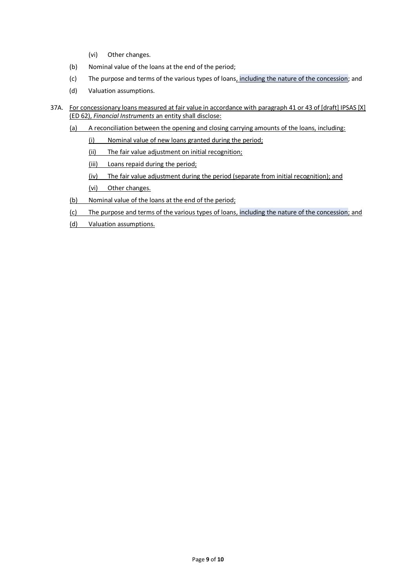- (vi) Other changes.
- (b) Nominal value of the loans at the end of the period;
- (c) The purpose and terms of the various types of loans, including the nature of the concession; and
- (d) Valuation assumptions.
- 37A. For concessionary loans measured at fair value in accordance with paragraph 41 or 43 of [draft] IPSAS [X] (ED 62), *Financial Instruments* an entity shall disclose:
	- (a) A reconciliation between the opening and closing carrying amounts of the loans, including:
		- (i) Nominal value of new loans granted during the period;
		- (ii) The fair value adjustment on initial recognition;
		- (iii) Loans repaid during the period;
		- (iv) The fair value adjustment during the period (separate from initial recognition); and
		- (vi) Other changes.
	- (b) Nominal value of the loans at the end of the period;
	- (c) The purpose and terms of the various types of loans, including the nature of the concession; and
	- (d) Valuation assumptions.